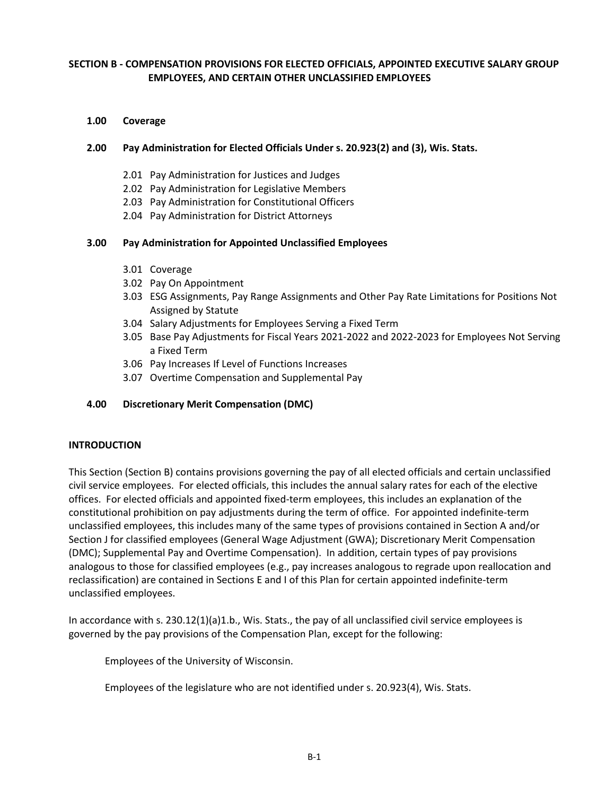# **SECTION B - COMPENSATION PROVISIONS FOR ELECTED OFFICIALS, APPOINTED EXECUTIVE SALARY GROUP EMPLOYEES, AND CERTAIN OTHER UNCLASSIFIED EMPLOYEES**

## **1.00 Coverage**

## **2.00 Pay Administration for Elected Officials Under s. 20.923(2) and (3), Wis. Stats.**

- 2.01 Pay Administration for Justices and Judges
- 2.02 Pay Administration for Legislative Members
- 2.03 Pay Administration for Constitutional Officers
- 2.04 Pay Administration for District Attorneys

## **3.00 Pay Administration for Appointed Unclassified Employees**

- 3.01 Coverage
- 3.02 Pay On Appointment
- 3.03 ESG Assignments, Pay Range Assignments and Other Pay Rate Limitations for Positions Not Assigned by Statute
- 3.04 Salary Adjustments for Employees Serving a Fixed Term
- 3.05 Base Pay Adjustments for Fiscal Years 2021-2022 and 2022-2023 for Employees Not Serving a Fixed Term
- 3.06 Pay Increases If Level of Functions Increases
- 3.07 Overtime Compensation and Supplemental Pay

## **4.00 Discretionary Merit Compensation (DMC)**

## **INTRODUCTION**

This Section (Section B) contains provisions governing the pay of all elected officials and certain unclassified civil service employees. For elected officials, this includes the annual salary rates for each of the elective offices. For elected officials and appointed fixed-term employees, this includes an explanation of the constitutional prohibition on pay adjustments during the term of office. For appointed indefinite-term unclassified employees, this includes many of the same types of provisions contained in Section A and/or Section J for classified employees (General Wage Adjustment (GWA); Discretionary Merit Compensation (DMC); Supplemental Pay and Overtime Compensation). In addition, certain types of pay provisions analogous to those for classified employees (e.g., pay increases analogous to regrade upon reallocation and reclassification) are contained in Sections E and I of this Plan for certain appointed indefinite-term unclassified employees.

In accordance with s. 230.12(1)(a)1.b., Wis. Stats., the pay of all unclassified civil service employees is governed by the pay provisions of the Compensation Plan, except for the following:

Employees of the University of Wisconsin.

Employees of the legislature who are not identified under s. 20.923(4), Wis. Stats.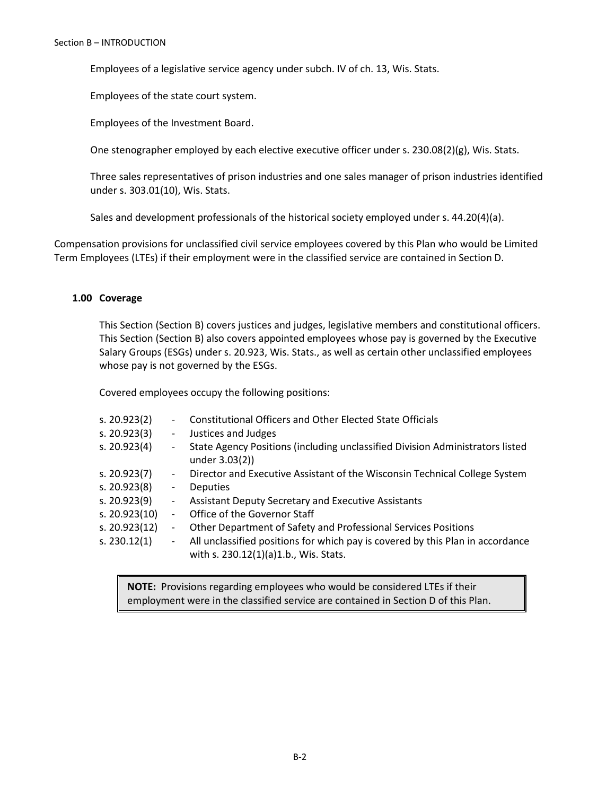Employees of a legislative service agency under subch. IV of ch. 13, Wis. Stats.

Employees of the state court system.

Employees of the Investment Board.

One stenographer employed by each elective executive officer under s. 230.08(2)(g), Wis. Stats.

Three sales representatives of prison industries and one sales manager of prison industries identified under s. 303.01(10), Wis. Stats.

Sales and development professionals of the historical society employed under s. 44.20(4)(a).

Compensation provisions for unclassified civil service employees covered by this Plan who would be Limited Term Employees (LTEs) if their employment were in the classified service are contained in Section D.

### **1.00 Coverage**

This Section (Section B) covers justices and judges, legislative members and constitutional officers. This Section (Section B) also covers appointed employees whose pay is governed by the Executive Salary Groups (ESGs) under s. 20.923, Wis. Stats., as well as certain other unclassified employees whose pay is not governed by the ESGs.

Covered employees occupy the following positions:

| s. 20.923(2)   |                              | <b>Constitutional Officers and Other Elected State Officials</b>                                                        |
|----------------|------------------------------|-------------------------------------------------------------------------------------------------------------------------|
| s. 20.923(3)   | $\qquad \qquad -$            | Justices and Judges                                                                                                     |
| s. 20.923(4)   | $\overline{\phantom{a}}$     | State Agency Positions (including unclassified Division Administrators listed<br>under 3.03(2))                         |
| s. $20.923(7)$ | $\overline{\phantom{0}}$     | Director and Executive Assistant of the Wisconsin Technical College System                                              |
| s. 20.923(8)   | $\overline{\phantom{a}}$     | <b>Deputies</b>                                                                                                         |
| s. 20.923(9)   | $\overline{\phantom{a}}$     | Assistant Deputy Secretary and Executive Assistants                                                                     |
| s. 20.923(10)  |                              | Office of the Governor Staff                                                                                            |
| s. 20.923(12)  | $\qquad \qquad \blacksquare$ | Other Department of Safety and Professional Services Positions                                                          |
| s. 230.12(1)   | $\blacksquare$               | All unclassified positions for which pay is covered by this Plan in accordance<br>with s. 230.12(1)(a)1.b., Wis. Stats. |

**NOTE:** Provisions regarding employees who would be considered LTEs if their employment were in the classified service are contained in Section D of this Plan.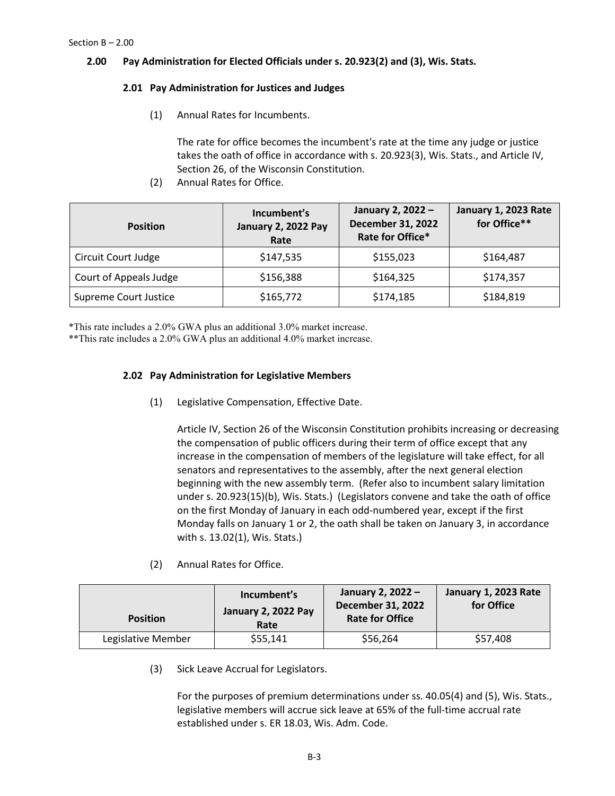## **2.00 Pay Administration for Elected Officials under s. 20.923(2) and (3), Wis. Stats.**

## **2.01 Pay Administration for Justices and Judges**

(1) Annual Rates for Incumbents.

The rate for office becomes the incumbent's rate at the time any judge or justice takes the oath of office in accordance with s. 20.923(3), Wis. Stats., and Article IV, Section 26, of the Wisconsin Constitution.

(2) Annual Rates for Office.

| <b>Position</b>        | Incumbent's<br><b>January 2, 2022 Pay</b><br>Rate | January 2, 2022 -<br><b>December 31, 2022</b><br>Rate for Office* | January 1, 2023 Rate<br>for Office** |
|------------------------|---------------------------------------------------|-------------------------------------------------------------------|--------------------------------------|
| Circuit Court Judge    | \$147,535                                         | \$155,023                                                         | \$164,487                            |
| Court of Appeals Judge | \$156,388                                         | \$164,325                                                         | \$174,357                            |
| Supreme Court Justice  | \$165,772                                         | \$174,185                                                         | \$184,819                            |

\*This rate includes a 2.0% GWA plus an additional 3.0% market increase.

\*\*This rate includes a 2.0% GWA plus an additional 4.0% market increase.

# **2.02 Pay Administration for Legislative Members**

(1) Legislative Compensation, Effective Date.

Article IV, Section 26 of the Wisconsin Constitution prohibits increasing or decreasing the compensation of public officers during their term of office except that any increase in the compensation of members of the legislature will take effect, for all senators and representatives to the assembly, after the next general election beginning with the new assembly term. (Refer also to incumbent salary limitation under s. 20.923(15)(b), Wis. Stats.) (Legislators convene and take the oath of office on the first Monday of January in each odd-numbered year, except if the first Monday falls on January 1 or 2, the oath shall be taken on January 3, in accordance with s. 13.02(1), Wis. Stats.)

(2) Annual Rates for Office.

| <b>Position</b> |                    | Incumbent's<br>January 2, 2022 Pay<br>Rate | January 2, 2022 -<br><b>December 31, 2022</b><br><b>Rate for Office</b> | January 1, 2023 Rate<br>for Office |
|-----------------|--------------------|--------------------------------------------|-------------------------------------------------------------------------|------------------------------------|
|                 | Legislative Member | \$55,141                                   | \$56,264                                                                | \$57,408                           |

(3) Sick Leave Accrual for Legislators.

For the purposes of premium determinations under ss. 40.05(4) and (5), Wis. Stats., legislative members will accrue sick leave at 65% of the full-time accrual rate established under s. ER 18.03, Wis. Adm. Code.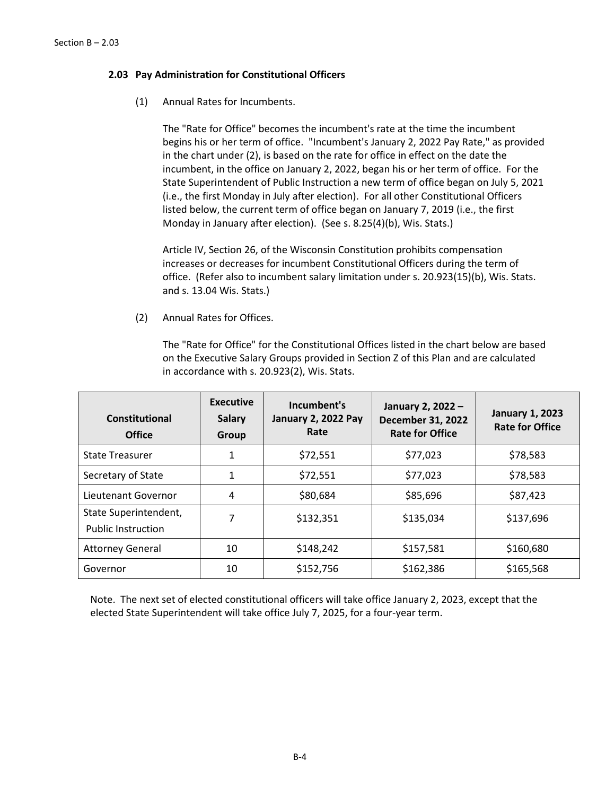## **2.03 Pay Administration for Constitutional Officers**

(1) Annual Rates for Incumbents.

The "Rate for Office" becomes the incumbent's rate at the time the incumbent begins his or her term of office. "Incumbent's January 2, 2022 Pay Rate," as provided in the chart under (2), is based on the rate for office in effect on the date the incumbent, in the office on January 2, 2022, began his or her term of office. For the State Superintendent of Public Instruction a new term of office began on July 5, 2021 (i.e., the first Monday in July after election).For all other Constitutional Officers listed below, the current term of office began on January 7, 2019 (i.e., the first Monday in January after election). (See s. 8.25(4)(b), Wis. Stats.)

Article IV, Section 26, of the Wisconsin Constitution prohibits compensation increases or decreases for incumbent Constitutional Officers during the term of office. (Refer also to incumbent salary limitation under s. 20.923(15)(b), Wis. Stats. and s. 13.04 Wis. Stats.)

(2) Annual Rates for Offices.

The "Rate for Office" for the Constitutional Offices listed in the chart below are based on the Executive Salary Groups provided in Section Z of this Plan and are calculated in accordance with s. 20.923(2), Wis. Stats.

| Constitutional<br><b>Office</b>                    | <b>Executive</b><br><b>Salary</b><br>Group | Incumbent's<br>January 2, 2022 Pay<br>Rate | January 2, 2022 -<br><b>December 31, 2022</b><br><b>Rate for Office</b> | <b>January 1, 2023</b><br><b>Rate for Office</b> |
|----------------------------------------------------|--------------------------------------------|--------------------------------------------|-------------------------------------------------------------------------|--------------------------------------------------|
| <b>State Treasurer</b>                             | 1                                          | \$72,551                                   | \$77,023                                                                | \$78,583                                         |
| Secretary of State                                 | 1                                          | \$72,551                                   | \$77,023                                                                | \$78,583                                         |
| Lieutenant Governor                                | 4                                          | \$80,684                                   | \$85,696                                                                | \$87,423                                         |
| State Superintendent,<br><b>Public Instruction</b> | 7                                          | \$132,351                                  | \$135,034                                                               | \$137,696                                        |
| <b>Attorney General</b>                            | 10                                         | \$148,242                                  | \$157,581                                                               | \$160,680                                        |
| Governor                                           | 10                                         | \$152,756                                  | \$162,386                                                               | \$165,568                                        |

Note. The next set of elected constitutional officers will take office January 2, 2023, except that the elected State Superintendent will take office July 7, 2025, for a four-year term.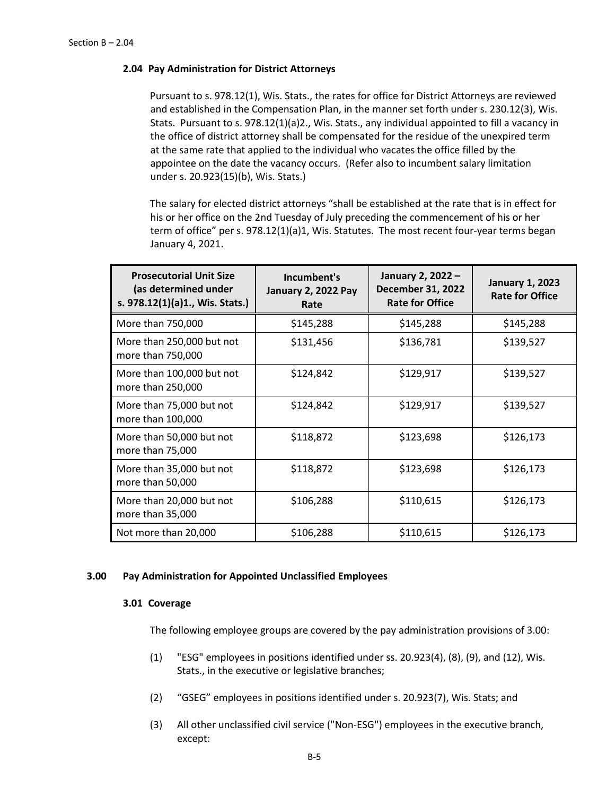### **2.04 Pay Administration for District Attorneys**

Pursuant to s. 978.12(1), Wis. Stats., the rates for office for District Attorneys are reviewed and established in the Compensation Plan, in the manner set forth under s. 230.12(3), Wis. Stats. Pursuant to s. 978.12(1)(a)2., Wis. Stats., any individual appointed to fill a vacancy in the office of district attorney shall be compensated for the residue of the unexpired term at the same rate that applied to the individual who vacates the office filled by the appointee on the date the vacancy occurs. (Refer also to incumbent salary limitation under s. 20.923(15)(b), Wis. Stats.)

The salary for elected district attorneys "shall be established at the rate that is in effect for his or her office on the 2nd Tuesday of July preceding the commencement of his or her term of office" per s. 978.12(1)(a)1, Wis. Statutes. The most recent four-year terms began January 4, 2021.

| <b>Prosecutorial Unit Size</b><br>(as determined under<br>s. 978.12(1)(a)1., Wis. Stats.) | Incumbent's<br><b>January 2, 2022 Pay</b><br>Rate | January 2, 2022 -<br><b>December 31, 2022</b><br><b>Rate for Office</b> | <b>January 1, 2023</b><br><b>Rate for Office</b> |
|-------------------------------------------------------------------------------------------|---------------------------------------------------|-------------------------------------------------------------------------|--------------------------------------------------|
| More than 750,000                                                                         | \$145,288                                         | \$145,288                                                               | \$145,288                                        |
| More than 250,000 but not<br>more than 750,000                                            | \$131,456                                         | \$136,781                                                               | \$139,527                                        |
| More than 100,000 but not<br>more than 250,000                                            | \$124,842                                         | \$129,917                                                               | \$139,527                                        |
| More than 75,000 but not<br>more than 100,000                                             | \$124,842                                         | \$129,917                                                               | \$139,527                                        |
| More than 50,000 but not<br>more than 75,000                                              | \$118,872                                         | \$123,698                                                               | \$126,173                                        |
| More than 35,000 but not<br>more than 50,000                                              | \$118,872                                         | \$123,698                                                               | \$126,173                                        |
| More than 20,000 but not<br>more than 35,000                                              | \$106,288                                         | \$110,615                                                               | \$126,173                                        |
| Not more than 20,000                                                                      | \$106,288                                         | \$110,615                                                               | \$126,173                                        |

### **3.00 Pay Administration for Appointed Unclassified Employees**

### **3.01 Coverage**

The following employee groups are covered by the pay administration provisions of 3.00:

- (1) "ESG" employees in positions identified under ss. 20.923(4), (8), (9), and (12), Wis. Stats., in the executive or legislative branches;
- (2) "GSEG" employees in positions identified under s. 20.923(7), Wis. Stats; and
- (3) All other unclassified civil service ("Non-ESG") employees in the executive branch, except: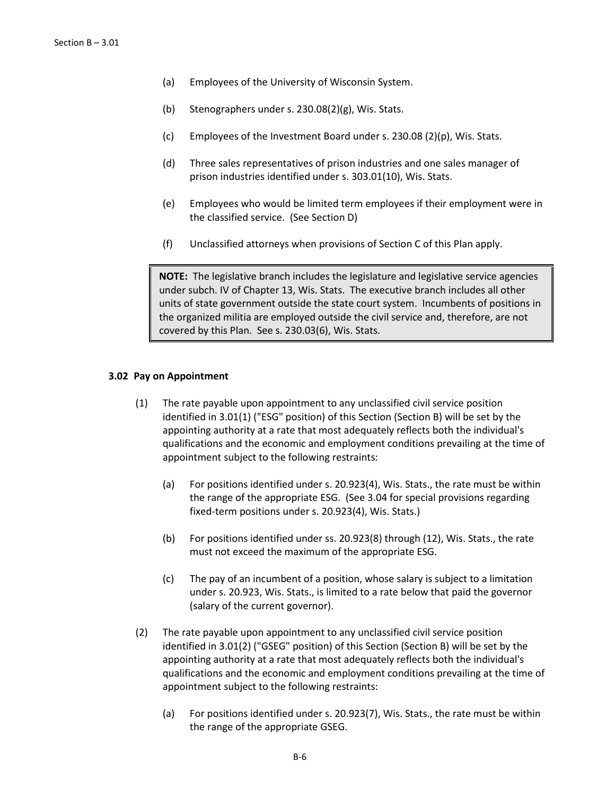- (a) Employees of the University of Wisconsin System.
- (b) Stenographers under s. 230.08(2)(g), Wis. Stats.
- (c) Employees of the Investment Board under s. 230.08 (2)(p), Wis. Stats.
- (d) Three sales representatives of prison industries and one sales manager of prison industries identified under s. 303.01(10), Wis. Stats.
- (e) Employees who would be limited term employees if their employment were in the classified service. (See Section D)
- (f) Unclassified attorneys when provisions of Section C of this Plan apply.

**NOTE:** The legislative branch includes the legislature and legislative service agencies under subch. IV of Chapter 13, Wis. Stats. The executive branch includes all other units of state government outside the state court system. Incumbents of positions in the organized militia are employed outside the civil service and, therefore, are not covered by this Plan. See s. 230.03(6), Wis. Stats.

#### **3.02 Pay on Appointment**

- (1) The rate payable upon appointment to any unclassified civil service position identified in 3.01(1) ("ESG" position) of this Section (Section B) will be set by the appointing authority at a rate that most adequately reflects both the individual's qualifications and the economic and employment conditions prevailing at the time of appointment subject to the following restraints:
	- (a) For positions identified under s. 20.923(4), Wis. Stats., the rate must be within the range of the appropriate ESG. (See 3.04 for special provisions regarding fixed-term positions under s. 20.923(4), Wis. Stats.)
	- (b) For positions identified under ss. 20.923(8) through (12), Wis. Stats., the rate must not exceed the maximum of the appropriate ESG.
	- (c) The pay of an incumbent of a position, whose salary is subject to a limitation under s. 20.923, Wis. Stats., is limited to a rate below that paid the governor (salary of the current governor).
- (2) The rate payable upon appointment to any unclassified civil service position identified in 3.01(2) ("GSEG" position) of this Section (Section B) will be set by the appointing authority at a rate that most adequately reflects both the individual's qualifications and the economic and employment conditions prevailing at the time of appointment subject to the following restraints:
	- (a) For positions identified under s. 20.923(7), Wis. Stats., the rate must be within the range of the appropriate GSEG.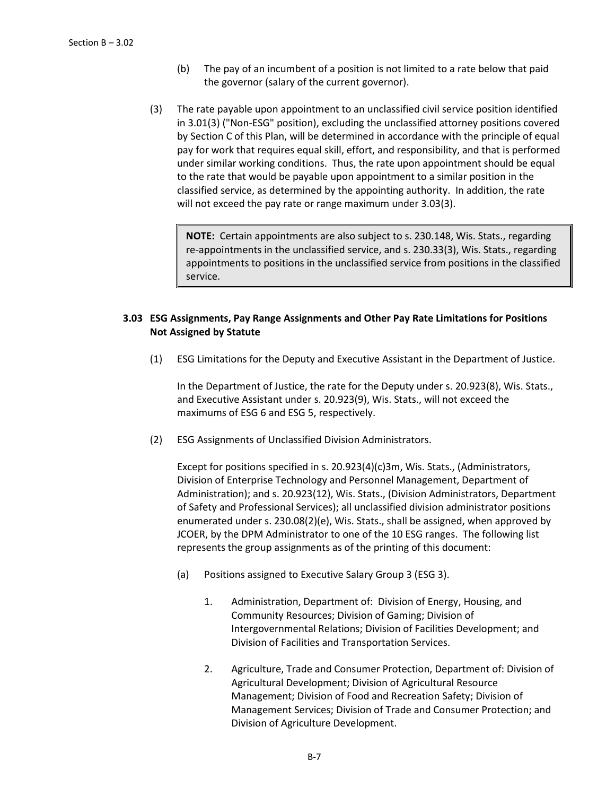- (b) The pay of an incumbent of a position is not limited to a rate below that paid the governor (salary of the current governor).
- (3) The rate payable upon appointment to an unclassified civil service position identified in 3.01(3) ("Non-ESG" position), excluding the unclassified attorney positions covered by Section C of this Plan, will be determined in accordance with the principle of equal pay for work that requires equal skill, effort, and responsibility, and that is performed under similar working conditions. Thus, the rate upon appointment should be equal to the rate that would be payable upon appointment to a similar position in the classified service, as determined by the appointing authority. In addition, the rate will not exceed the pay rate or range maximum under 3.03(3).

**NOTE:** Certain appointments are also subject to s. 230.148, Wis. Stats., regarding re-appointments in the unclassified service, and s. 230.33(3), Wis. Stats., regarding appointments to positions in the unclassified service from positions in the classified service.

## **3.03 ESG Assignments, Pay Range Assignments and Other Pay Rate Limitations for Positions Not Assigned by Statute**

(1) ESG Limitations for the Deputy and Executive Assistant in the Department of Justice.

In the Department of Justice, the rate for the Deputy under s. 20.923(8), Wis. Stats., and Executive Assistant under s. 20.923(9), Wis. Stats., will not exceed the maximums of ESG 6 and ESG 5, respectively.

(2) ESG Assignments of Unclassified Division Administrators.

Except for positions specified in s. 20.923(4)(c)3m, Wis. Stats., (Administrators, Division of Enterprise Technology and Personnel Management, Department of Administration); and s. 20.923(12), Wis. Stats., (Division Administrators, Department of Safety and Professional Services); all unclassified division administrator positions enumerated under s. 230.08(2)(e), Wis. Stats., shall be assigned, when approved by JCOER, by the DPM Administrator to one of the 10 ESG ranges. The following list represents the group assignments as of the printing of this document:

- (a) Positions assigned to Executive Salary Group 3 (ESG 3).
	- 1. Administration, Department of: Division of Energy, Housing, and Community Resources; Division of Gaming; Division of Intergovernmental Relations; Division of Facilities Development; and Division of Facilities and Transportation Services.
	- 2. Agriculture, Trade and Consumer Protection, Department of: Division of Agricultural Development; Division of Agricultural Resource Management; Division of Food and Recreation Safety; Division of Management Services; Division of Trade and Consumer Protection; and Division of Agriculture Development.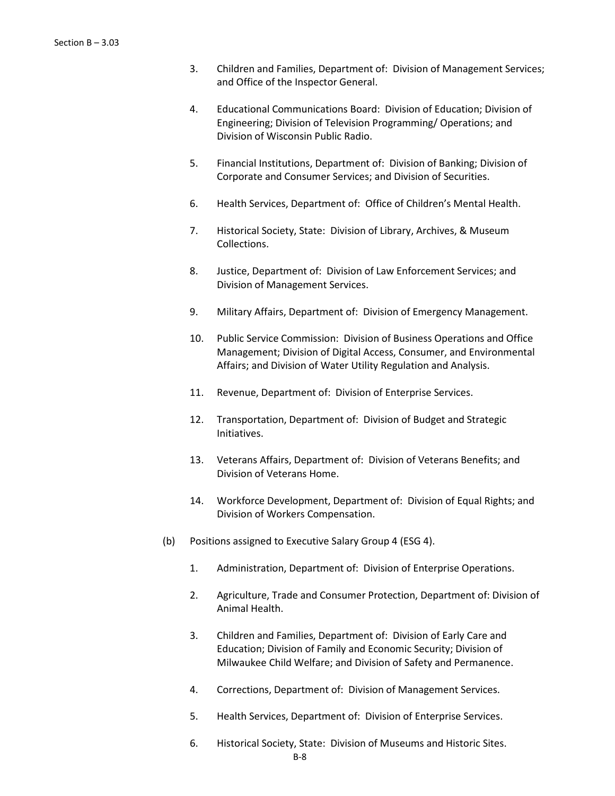- 3. Children and Families, Department of: Division of Management Services; and Office of the Inspector General.
- 4. Educational Communications Board: Division of Education; Division of Engineering; Division of Television Programming/ Operations; and Division of Wisconsin Public Radio.
- 5. Financial Institutions, Department of: Division of Banking; Division of Corporate and Consumer Services; and Division of Securities.
- 6. Health Services, Department of: Office of Children's Mental Health.
- 7. Historical Society, State: Division of Library, Archives, & Museum Collections.
- 8. Justice, Department of: Division of Law Enforcement Services; and Division of Management Services.
- 9. Military Affairs, Department of: Division of Emergency Management.
- 10. Public Service Commission: Division of Business Operations and Office Management; Division of Digital Access, Consumer, and Environmental Affairs; and Division of Water Utility Regulation and Analysis.
- 11. Revenue, Department of: Division of Enterprise Services.
- 12. Transportation, Department of: Division of Budget and Strategic Initiatives.
- 13. Veterans Affairs, Department of: Division of Veterans Benefits; and Division of Veterans Home.
- 14. Workforce Development, Department of: Division of Equal Rights; and Division of Workers Compensation.
- (b) Positions assigned to Executive Salary Group 4 (ESG 4).
	- 1. Administration, Department of: Division of Enterprise Operations.
	- 2. Agriculture, Trade and Consumer Protection, Department of: Division of Animal Health.
	- 3. Children and Families, Department of: Division of Early Care and Education; Division of Family and Economic Security; Division of Milwaukee Child Welfare; and Division of Safety and Permanence.
	- 4. Corrections, Department of: Division of Management Services.
	- 5. Health Services, Department of: Division of Enterprise Services.
	- 6. Historical Society, State: Division of Museums and Historic Sites.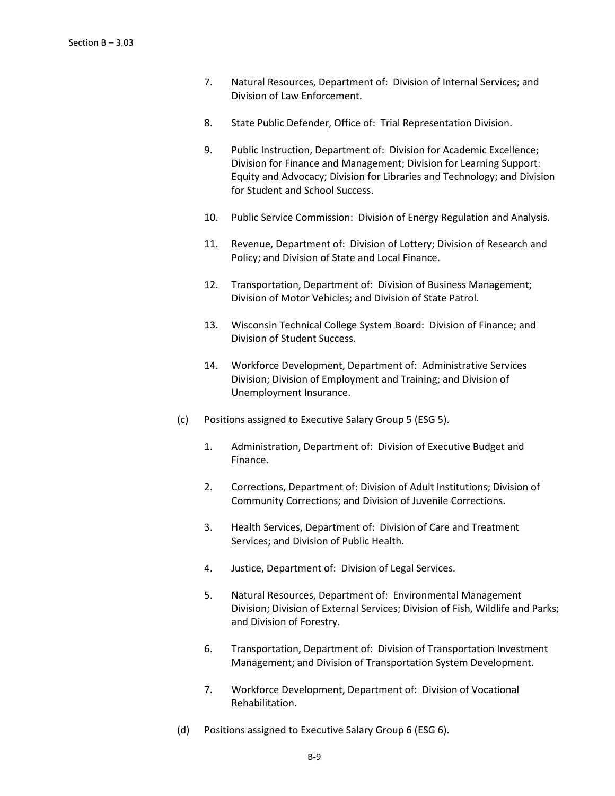- 7. Natural Resources, Department of: Division of Internal Services; and Division of Law Enforcement.
- 8. State Public Defender, Office of: Trial Representation Division.
- 9. Public Instruction, Department of: Division for Academic Excellence; Division for Finance and Management; Division for Learning Support: Equity and Advocacy; Division for Libraries and Technology; and Division for Student and School Success.
- 10. Public Service Commission: Division of Energy Regulation and Analysis.
- 11. Revenue, Department of: Division of Lottery; Division of Research and Policy; and Division of State and Local Finance.
- 12. Transportation, Department of: Division of Business Management; Division of Motor Vehicles; and Division of State Patrol.
- 13. Wisconsin Technical College System Board: Division of Finance; and Division of Student Success.
- 14. Workforce Development, Department of: Administrative Services Division; Division of Employment and Training; and Division of Unemployment Insurance.
- (c) Positions assigned to Executive Salary Group 5 (ESG 5).
	- 1. Administration, Department of: Division of Executive Budget and Finance.
	- 2. Corrections, Department of: Division of Adult Institutions; Division of Community Corrections; and Division of Juvenile Corrections.
	- 3. Health Services, Department of: Division of Care and Treatment Services; and Division of Public Health.
	- 4. Justice, Department of: Division of Legal Services.
	- 5. Natural Resources, Department of: Environmental Management Division; Division of External Services; Division of Fish, Wildlife and Parks; and Division of Forestry.
	- 6. Transportation, Department of: Division of Transportation Investment Management; and Division of Transportation System Development.
	- 7. Workforce Development, Department of: Division of Vocational Rehabilitation.
- (d) Positions assigned to Executive Salary Group 6 (ESG 6).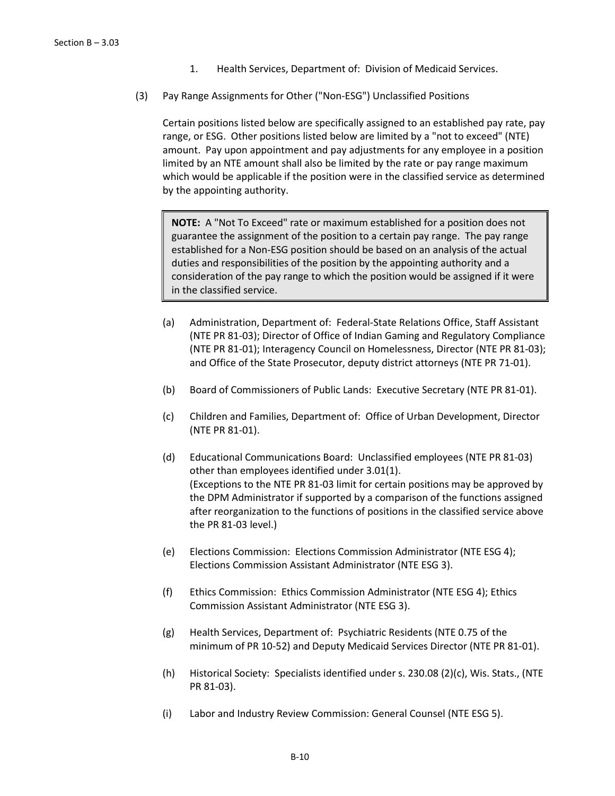- 1. Health Services, Department of: Division of Medicaid Services.
- (3) Pay Range Assignments for Other ("Non-ESG") Unclassified Positions

Certain positions listed below are specifically assigned to an established pay rate, pay range, or ESG. Other positions listed below are limited by a "not to exceed" (NTE) amount. Pay upon appointment and pay adjustments for any employee in a position limited by an NTE amount shall also be limited by the rate or pay range maximum which would be applicable if the position were in the classified service as determined by the appointing authority.

**NOTE:** A "Not To Exceed" rate or maximum established for a position does not guarantee the assignment of the position to a certain pay range. The pay range established for a Non-ESG position should be based on an analysis of the actual duties and responsibilities of the position by the appointing authority and a consideration of the pay range to which the position would be assigned if it were in the classified service.

- (a) Administration, Department of: Federal-State Relations Office, Staff Assistant (NTE PR 81-03); Director of Office of Indian Gaming and Regulatory Compliance (NTE PR 81-01); Interagency Council on Homelessness, Director (NTE PR 81-03); and Office of the State Prosecutor, deputy district attorneys (NTE PR 71-01).
- (b) Board of Commissioners of Public Lands: Executive Secretary (NTE PR 81-01).
- (c) Children and Families, Department of: Office of Urban Development, Director (NTE PR 81-01).
- (d) Educational Communications Board: Unclassified employees (NTE PR 81-03) other than employees identified under 3.01(1). (Exceptions to the NTE PR 81-03 limit for certain positions may be approved by the DPM Administrator if supported by a comparison of the functions assigned after reorganization to the functions of positions in the classified service above the PR 81-03 level.)
- (e) Elections Commission: Elections Commission Administrator (NTE ESG 4); Elections Commission Assistant Administrator (NTE ESG 3).
- (f) Ethics Commission: Ethics Commission Administrator (NTE ESG 4); Ethics Commission Assistant Administrator (NTE ESG 3).
- (g) Health Services, Department of: Psychiatric Residents (NTE 0.75 of the minimum of PR 10-52) and Deputy Medicaid Services Director (NTE PR 81-01).
- (h) Historical Society: Specialists identified under s. 230.08 (2)(c), Wis. Stats., (NTE PR 81-03).
- (i) Labor and Industry Review Commission: General Counsel (NTE ESG 5).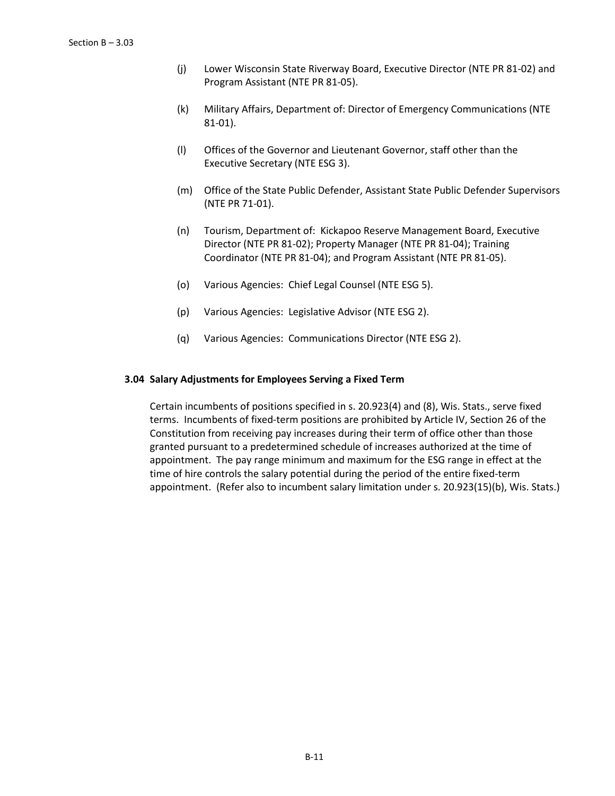- (j) Lower Wisconsin State Riverway Board, Executive Director (NTE PR 81-02) and Program Assistant (NTE PR 81-05).
- (k) Military Affairs, Department of: Director of Emergency Communications (NTE 81-01).
- (l) Offices of the Governor and Lieutenant Governor, staff other than the Executive Secretary (NTE ESG 3).
- (m) Office of the State Public Defender, Assistant State Public Defender Supervisors (NTE PR 71-01).
- (n) Tourism, Department of: Kickapoo Reserve Management Board, Executive Director (NTE PR 81-02); Property Manager (NTE PR 81-04); Training Coordinator (NTE PR 81-04); and Program Assistant (NTE PR 81-05).
- (o) Various Agencies: Chief Legal Counsel (NTE ESG 5).
- (p) Various Agencies: Legislative Advisor (NTE ESG 2).
- (q) Various Agencies: Communications Director (NTE ESG 2).

### **3.04 Salary Adjustments for Employees Serving a Fixed Term**

Certain incumbents of positions specified in s. 20.923(4) and (8), Wis. Stats., serve fixed terms. Incumbents of fixed-term positions are prohibited by Article IV, Section 26 of the Constitution from receiving pay increases during their term of office other than those granted pursuant to a predetermined schedule of increases authorized at the time of appointment. The pay range minimum and maximum for the ESG range in effect at the time of hire controls the salary potential during the period of the entire fixed-term appointment. (Refer also to incumbent salary limitation under s. 20.923(15)(b), Wis. Stats.)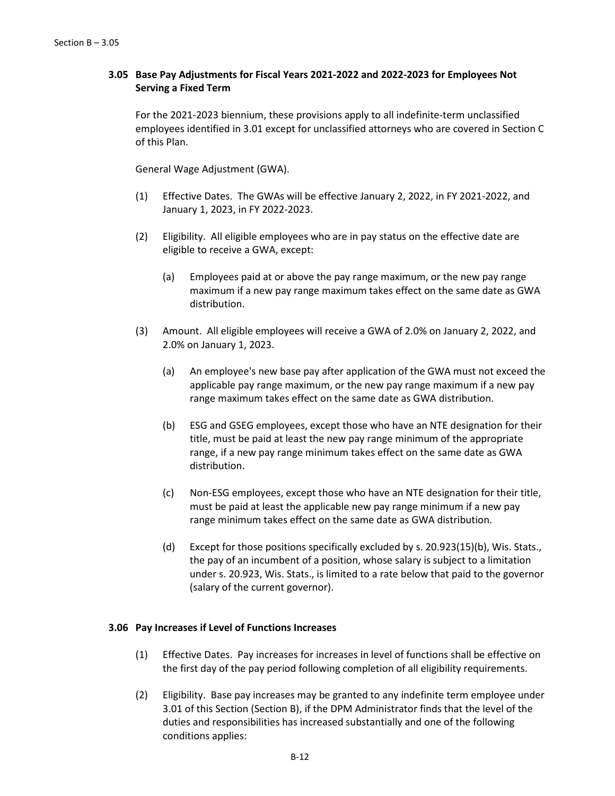## **3.05 Base Pay Adjustments for Fiscal Years 2021-2022 and 2022-2023 for Employees Not Serving a Fixed Term**

For the 2021-2023 biennium, these provisions apply to all indefinite-term unclassified employees identified in 3.01 except for unclassified attorneys who are covered in Section C of this Plan.

General Wage Adjustment (GWA).

- (1) Effective Dates. The GWAs will be effective January 2, 2022, in FY 2021-2022, and January 1, 2023, in FY 2022-2023.
- (2) Eligibility. All eligible employees who are in pay status on the effective date are eligible to receive a GWA, except:
	- (a) Employees paid at or above the pay range maximum, or the new pay range maximum if a new pay range maximum takes effect on the same date as GWA distribution.
- (3) Amount. All eligible employees will receive a GWA of 2.0% on January 2, 2022, and 2.0% on January 1, 2023.
	- (a) An employee's new base pay after application of the GWA must not exceed the applicable pay range maximum, or the new pay range maximum if a new pay range maximum takes effect on the same date as GWA distribution.
	- (b) ESG and GSEG employees, except those who have an NTE designation for their title, must be paid at least the new pay range minimum of the appropriate range, if a new pay range minimum takes effect on the same date as GWA distribution.
	- (c) Non-ESG employees, except those who have an NTE designation for their title, must be paid at least the applicable new pay range minimum if a new pay range minimum takes effect on the same date as GWA distribution.
	- (d) Except for those positions specifically excluded by s. 20.923(15)(b), Wis. Stats., the pay of an incumbent of a position, whose salary is subject to a limitation under s. 20.923, Wis. Stats., is limited to a rate below that paid to the governor (salary of the current governor).

### **3.06 Pay Increases if Level of Functions Increases**

- (1) Effective Dates. Pay increases for increases in level of functions shall be effective on the first day of the pay period following completion of all eligibility requirements.
- (2) Eligibility. Base pay increases may be granted to any indefinite term employee under 3.01 of this Section (Section B), if the DPM Administrator finds that the level of the duties and responsibilities has increased substantially and one of the following conditions applies: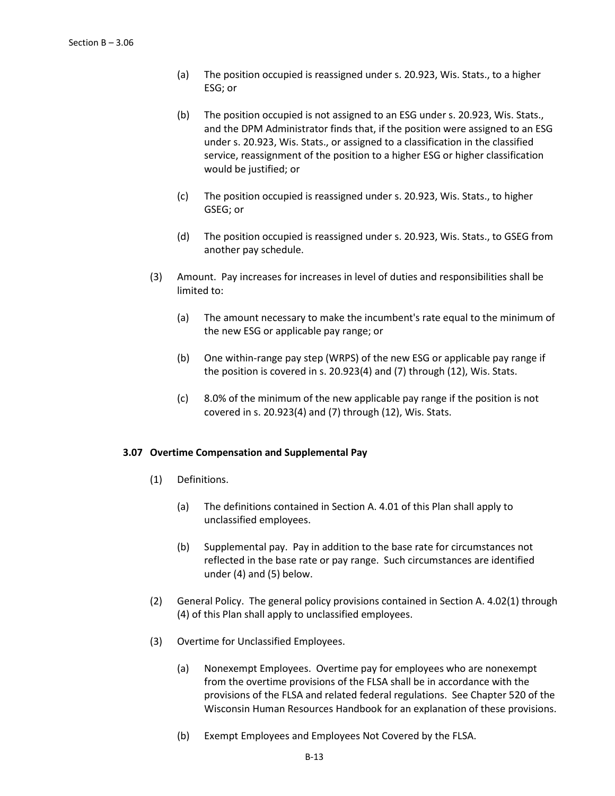- (a) The position occupied is reassigned under s. 20.923, Wis. Stats., to a higher ESG; or
- (b) The position occupied is not assigned to an ESG under s. 20.923, Wis. Stats., and the DPM Administrator finds that, if the position were assigned to an ESG under s. 20.923, Wis. Stats., or assigned to a classification in the classified service, reassignment of the position to a higher ESG or higher classification would be justified; or
- (c) The position occupied is reassigned under s. 20.923, Wis. Stats., to higher GSEG; or
- (d) The position occupied is reassigned under s. 20.923, Wis. Stats., to GSEG from another pay schedule.
- (3) Amount. Pay increases for increases in level of duties and responsibilities shall be limited to:
	- (a) The amount necessary to make the incumbent's rate equal to the minimum of the new ESG or applicable pay range; or
	- (b) One within-range pay step (WRPS) of the new ESG or applicable pay range if the position is covered in s. 20.923(4) and (7) through (12), Wis. Stats.
	- (c) 8.0% of the minimum of the new applicable pay range if the position is not covered in s. 20.923(4) and (7) through (12), Wis. Stats.

#### **3.07 Overtime Compensation and Supplemental Pay**

- (1) Definitions.
	- (a) The definitions contained in Section A. 4.01 of this Plan shall apply to unclassified employees.
	- (b) Supplemental pay. Pay in addition to the base rate for circumstances not reflected in the base rate or pay range. Such circumstances are identified under (4) and (5) below.
- (2) General Policy. The general policy provisions contained in Section A. 4.02(1) through (4) of this Plan shall apply to unclassified employees.
- (3) Overtime for Unclassified Employees.
	- (a) Nonexempt Employees. Overtime pay for employees who are nonexempt from the overtime provisions of the FLSA shall be in accordance with the provisions of the FLSA and related federal regulations. See Chapter 520 of the Wisconsin Human Resources Handbook for an explanation of these provisions.
	- (b) Exempt Employees and Employees Not Covered by the FLSA.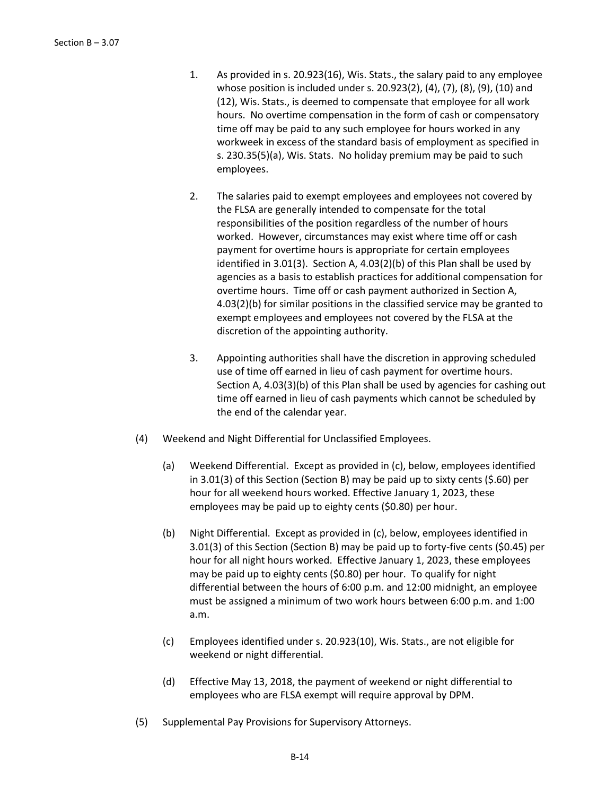- 1. As provided in s. 20.923(16), Wis. Stats., the salary paid to any employee whose position is included under s. 20.923(2), (4), (7), (8), (9), (10) and (12), Wis. Stats., is deemed to compensate that employee for all work hours. No overtime compensation in the form of cash or compensatory time off may be paid to any such employee for hours worked in any workweek in excess of the standard basis of employment as specified in s. 230.35(5)(a), Wis. Stats. No holiday premium may be paid to such employees.
- 2. The salaries paid to exempt employees and employees not covered by the FLSA are generally intended to compensate for the total responsibilities of the position regardless of the number of hours worked. However, circumstances may exist where time off or cash payment for overtime hours is appropriate for certain employees identified in 3.01(3). Section A, 4.03(2)(b) of this Plan shall be used by agencies as a basis to establish practices for additional compensation for overtime hours. Time off or cash payment authorized in Section A, 4.03(2)(b) for similar positions in the classified service may be granted to exempt employees and employees not covered by the FLSA at the discretion of the appointing authority.
- 3. Appointing authorities shall have the discretion in approving scheduled use of time off earned in lieu of cash payment for overtime hours. Section A, 4.03(3)(b) of this Plan shall be used by agencies for cashing out time off earned in lieu of cash payments which cannot be scheduled by the end of the calendar year.
- (4) Weekend and Night Differential for Unclassified Employees.
	- (a) Weekend Differential. Except as provided in (c), below, employees identified in 3.01(3) of this Section (Section B) may be paid up to sixty cents (\$.60) per hour for all weekend hours worked. Effective January 1, 2023, these employees may be paid up to eighty cents (\$0.80) per hour.
	- (b) Night Differential. Except as provided in (c), below, employees identified in 3.01(3) of this Section (Section B) may be paid up to forty-five cents (\$0.45) per hour for all night hours worked. Effective January 1, 2023, these employees may be paid up to eighty cents (\$0.80) per hour. To qualify for night differential between the hours of 6:00 p.m. and 12:00 midnight, an employee must be assigned a minimum of two work hours between 6:00 p.m. and 1:00 a.m.
	- (c) Employees identified under s. 20.923(10), Wis. Stats., are not eligible for weekend or night differential.
	- (d) Effective May 13, 2018, the payment of weekend or night differential to employees who are FLSA exempt will require approval by DPM.
- (5) Supplemental Pay Provisions for Supervisory Attorneys.